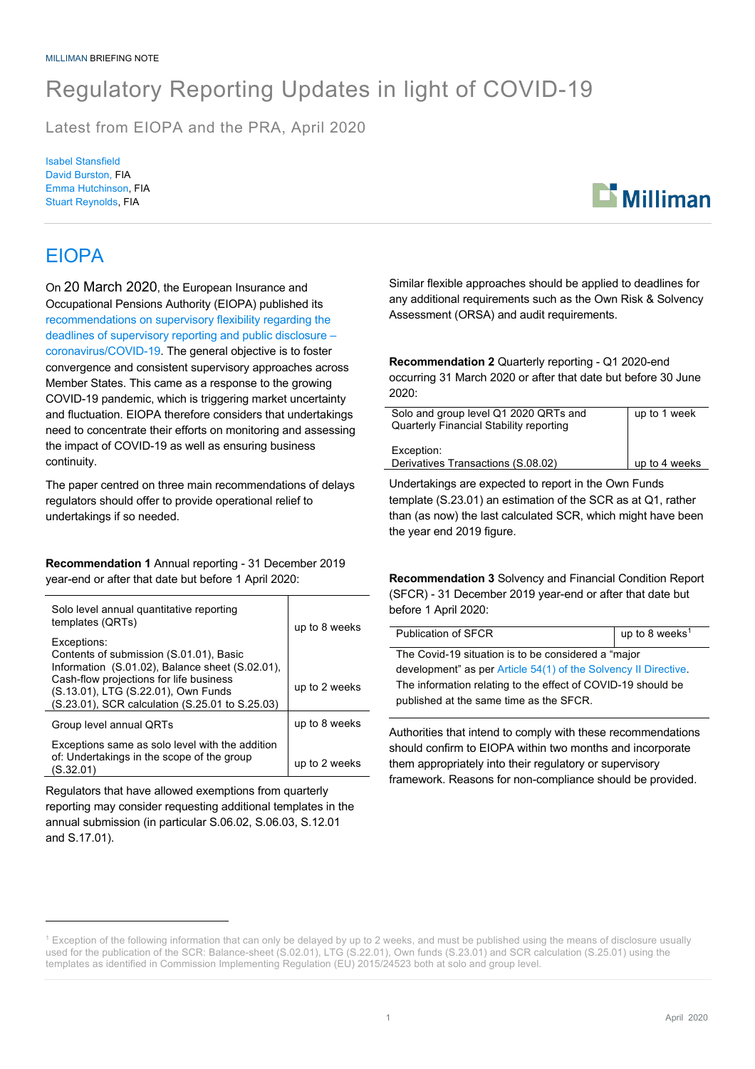## Regulatory Reporting Updates in light of COVID-19

Latest from EIOPA and the PRA, April 2020

Isabel Stansfield David Burston, FIA Emma Hutchinson, FIA Stuart Reynolds, FIA



## EIOPA

On 20 March 2020, the European Insurance and Occupational Pensions Authority (EIOPA) published its recommendations on supervisory flexibility regarding the deadlines of supervisory reporting and public disclosure – coronavirus/COVID-19. The general objective is to foster convergence and consistent supervisory approaches across Member States. This came as a response to the growing COVID-19 pandemic, which is triggering market uncertainty and fluctuation. EIOPA therefore considers that undertakings need to concentrate their efforts on monitoring and assessing the impact of COVID-19 as well as ensuring business continuity.

The paper centred on three main recommendations of delays regulators should offer to provide operational relief to undertakings if so needed.

**Recommendation 1** Annual reporting - 31 December 2019 year-end or after that date but before 1 April 2020:

| Solo level annual quantitative reporting<br>templates (QRTs)                                                                      | up to 8 weeks |
|-----------------------------------------------------------------------------------------------------------------------------------|---------------|
| Exceptions:<br>Contents of submission (S.01.01), Basic<br>Information (S.01.02), Balance sheet (S.02.01),                         |               |
| Cash-flow projections for life business<br>(S.13.01), LTG (S.22.01), Own Funds<br>(S.23.01), SCR calculation (S.25.01 to S.25.03) | up to 2 weeks |
| Group level annual QRTs                                                                                                           | up to 8 weeks |
| Exceptions same as solo level with the addition<br>of: Undertakings in the scope of the group<br>(S.32.01)                        | up to 2 weeks |

Regulators that have allowed exemptions from quarterly reporting may consider requesting additional templates in the annual submission (in particular S.06.02, S.06.03, S.12.01 and S.17.01).

Similar flexible approaches should be applied to deadlines for any additional requirements such as the Own Risk & Solvency Assessment (ORSA) and audit requirements.

**Recommendation 2** Quarterly reporting - Q1 2020-end occurring 31 March 2020 or after that date but before 30 June 2020:

| Solo and group level Q1 2020 QRTs and          | up to 1 week  |
|------------------------------------------------|---------------|
| <b>Quarterly Financial Stability reporting</b> |               |
|                                                |               |
| Exception:                                     |               |
| Derivatives Transactions (S.08.02)             | up to 4 weeks |
|                                                |               |

Undertakings are expected to report in the Own Funds template (S.23.01) an estimation of the SCR as at Q1, rather than (as now) the last calculated SCR, which might have been the year end 2019 figure.

**Recommendation 3** Solvency and Financial Condition Report (SFCR) - 31 December 2019 year-end or after that date but before 1 April 2020:

| Publication of SFCR                                             | up to 8 weeks <sup>1</sup> |
|-----------------------------------------------------------------|----------------------------|
| The Covid-19 situation is to be considered a "major             |                            |
| development" as per Article 54(1) of the Solvency II Directive. |                            |
| The information relating to the effect of COVID-19 should be    |                            |
| published at the same time as the SFCR.                         |                            |

Authorities that intend to comply with these recommendations should confirm to EIOPA within two months and incorporate them appropriately into their regulatory or supervisory framework. Reasons for non-compliance should be provided.

<sup>&</sup>lt;sup>1</sup> Exception of the following information that can only be delayed by up to 2 weeks, and must be published using the means of disclosure usually used for the publication of the SCR: Balance-sheet (S.02.01), LTG (S.22.01), Own funds (S.23.01) and SCR calculation (S.25.01) using the templates as identified in Commission Implementing Regulation (EU) 2015/24523 both at solo and group level.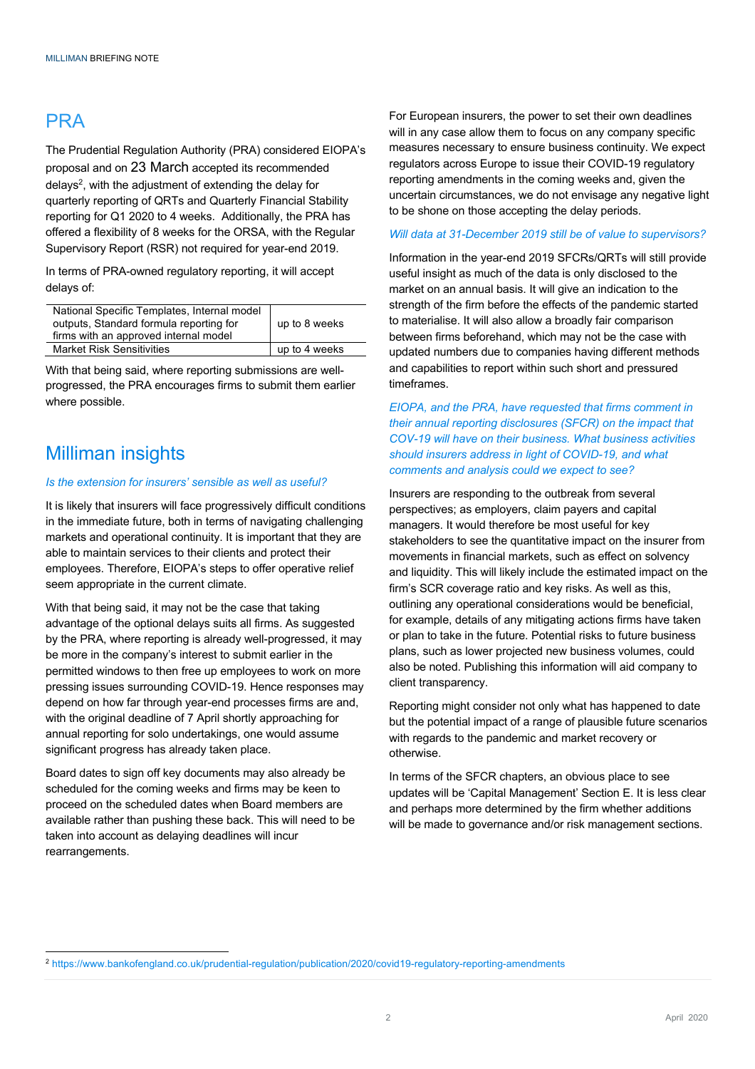### **PRA**

The Prudential Regulation Authority (PRA) considered EIOPA's proposal and on 23 March accepted its recommended delays<sup>2</sup>, with the adjustment of extending the delay for quarterly reporting of QRTs and Quarterly Financial Stability reporting for Q1 2020 to 4 weeks. Additionally, the PRA has offered a flexibility of 8 weeks for the ORSA, with the Regular Supervisory Report (RSR) not required for year-end 2019.

In terms of PRA-owned regulatory reporting, it will accept delays of:

| National Specific Templates, Internal model |               |
|---------------------------------------------|---------------|
| outputs, Standard formula reporting for     | up to 8 weeks |
| firms with an approved internal model       |               |
| <b>Market Risk Sensitivities</b>            | up to 4 weeks |

With that being said, where reporting submissions are wellprogressed, the PRA encourages firms to submit them earlier where possible.

#### Milliman insights

#### *Is the extension for insurers' sensible as well as useful?*

It is likely that insurers will face progressively difficult conditions in the immediate future, both in terms of navigating challenging markets and operational continuity. It is important that they are able to maintain services to their clients and protect their employees. Therefore, EIOPA's steps to offer operative relief seem appropriate in the current climate.

With that being said, it may not be the case that taking advantage of the optional delays suits all firms. As suggested by the PRA, where reporting is already well-progressed, it may be more in the company's interest to submit earlier in the permitted windows to then free up employees to work on more pressing issues surrounding COVID-19. Hence responses may depend on how far through year-end processes firms are and, with the original deadline of 7 April shortly approaching for annual reporting for solo undertakings, one would assume significant progress has already taken place.

Board dates to sign off key documents may also already be scheduled for the coming weeks and firms may be keen to proceed on the scheduled dates when Board members are available rather than pushing these back. This will need to be taken into account as delaying deadlines will incur rearrangements.

For European insurers, the power to set their own deadlines will in any case allow them to focus on any company specific measures necessary to ensure business continuity. We expect regulators across Europe to issue their COVID-19 regulatory reporting amendments in the coming weeks and, given the uncertain circumstances, we do not envisage any negative light to be shone on those accepting the delay periods.

#### *Will data at 31-December 2019 still be of value to supervisors?*

Information in the year-end 2019 SFCRs/QRTs will still provide useful insight as much of the data is only disclosed to the market on an annual basis. It will give an indication to the strength of the firm before the effects of the pandemic started to materialise. It will also allow a broadly fair comparison between firms beforehand, which may not be the case with updated numbers due to companies having different methods and capabilities to report within such short and pressured timeframes.

*EIOPA, and the PRA, have requested that firms comment in their annual reporting disclosures (SFCR) on the impact that COV-19 will have on their business. What business activities should insurers address in light of COVID-19, and what comments and analysis could we expect to see?*

Insurers are responding to the outbreak from several perspectives; as employers, claim payers and capital managers. It would therefore be most useful for key stakeholders to see the quantitative impact on the insurer from movements in financial markets, such as effect on solvency and liquidity. This will likely include the estimated impact on the firm's SCR coverage ratio and key risks. As well as this, outlining any operational considerations would be beneficial, for example, details of any mitigating actions firms have taken or plan to take in the future. Potential risks to future business plans, such as lower projected new business volumes, could also be noted. Publishing this information will aid company to client transparency.

Reporting might consider not only what has happened to date but the potential impact of a range of plausible future scenarios with regards to the pandemic and market recovery or otherwise.

In terms of the SFCR chapters, an obvious place to see updates will be 'Capital Management' Section E. It is less clear and perhaps more determined by the firm whether additions will be made to governance and/or risk management sections.

<sup>2</sup> https://www.bankofengland.co.uk/prudential-regulation/publication/2020/covid19-regulatory-reporting-amendments